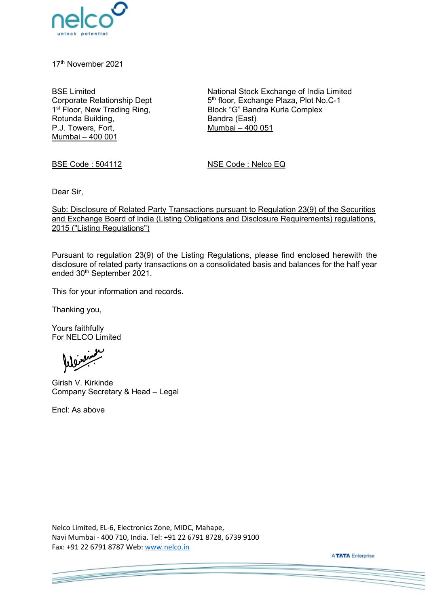

17<sup>th</sup> November 2021

BSE Limited Corporate Relationship Dept 1<sup>st</sup> Floor, New Trading Ring, Rotunda Building, P.J. Towers, Fort, Mumbai – 400 001

National Stock Exchange of India Limited 5<sup>th</sup> floor, Exchange Plaza, Plot No.C-1 Block "G" Bandra Kurla Complex Bandra (East) Mumbai – 400 051

BSE Code : 504112 NSE Code : Nelco EQ

Dear Sir,

Sub: Disclosure of Related Party Transactions pursuant to Regulation 23(9) of the Securities and Exchange Board of India (Listing Obligations and Disclosure Requirements) regulations, 2015 ("Listing Regulations")

Pursuant to regulation 23(9) of the Listing Regulations, please find enclosed herewith the disclosure of related party transactions on a consolidated basis and balances for the half year ended 30<sup>th</sup> September 2021.

This for your information and records.

Thanking you,

Yours faithfully For NELCO Limited

Girish V. Kirkinde Company Secretary & Head – Legal

Encl: As above

**Contract Contract** 

Nelco Limited, EL-6, Electronics Zone, MIDC, Mahape, Navi Mumbai - 400 710, India. Tel: +91 22 6791 8728, 6739 9100 Fax: +91 22 6791 8787 Web: [www.nelco.in](http://www.nelco.in/) 

**ATATA** Enterprise